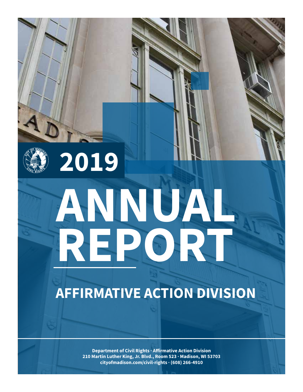

# **2019 ANNUAL REPORT**

## **AFFIRMATIVE ACTION DIVISION**

**Department of Civil Rights · Affirmative Action Division 210 Martin Luther King, Jr. Blvd., Room 523 · Madison, WI 53703 [cityofmadison.com/civil-rights](https://www.cityofmadison.com/civil-rights) · (608) 266-4910**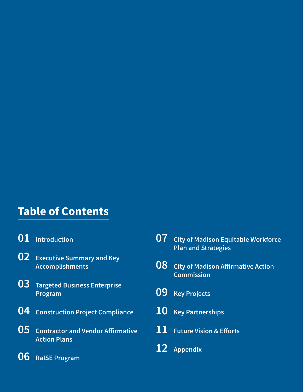## **Table of Contents**

- **[Introduction](#page-2-0)**
- **[Executive Summary and Key](#page-3-0)  [Accomplishments](#page-3-0)**
- **[Targeted Business Enterprise](#page-4-0)  [Program](#page-4-0)**
- **[Construction Project Compliance](#page-5-0)**
- **[Contractor and Vendor Affirmative](#page-6-0)  [Action Plans](#page-6-0)**
- **[RaISE Program](#page-7-0)**

 **[City of Madison Equitable Workforce](#page-8-0)  [Plan and Strategies](#page-8-0) [City of Madison Affirmative Action](#page-9-0)  [Commission](#page-9-0) [Key Projects](#page-10-0) [Key Partnerships](#page-11-0) [Future Vision & Efforts](#page-12-0) [Appendix](#page-13-0)**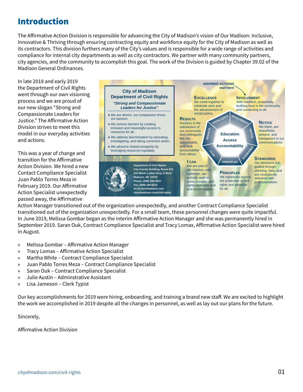## <span id="page-2-0"></span>Introduction

The Affirmative Action Division is responsible for advancing the City of Madison's vision of Our Madison: Inclusive, *DCR strategy:* Innovative & Thriving through ensuring contracting equity and workforce equity for the City of Madison as well as The Animative Action Division is responsible for advancing the City of Madison's vision of Our Madison: Inclusive,<br>Innovative & Thriving through ensuring contracting equity and workforce equity for the City of Madison as w res contractors: This division furthers many of the city's values and is responsible for a wide range of activities and<br>compliance for internal city departments as well as city contractors. We partner with many community p city agencies, and the community to accomplish this goal. The work of the Division is guided by Chapter 39.02 of the Madison General Ordinances. *X*Cy OF Madi:<br>/orkforce eq<br>nd is respon

In late 2018 and early 2019 the Department of Civil Rights went through our own visioning process and we are proud of our new slogan "Strong and Compassionate Leaders for Justice." The Affirmative Action Division strives to meet this model in our everyday activities and actions.

This was a year of change and transition for the Affirmative Action Division. We hired a new Contact Compliance Specialist Juan Pablo Torres Meza in February 2019. Our Affirmative Action Specialist unexpectedly passed away, the Affirmative



Action Manager transitioned out of the organization unexpectedly, and another Contract Compliance Specialist transitioned out of the organization unexpectedly. For a small team, these personnel changes were quite impactful. In June 2019, Melissa Gombar began as the interim Affirmative Action Manager and she was permanently hired in September 2019. Saran Ouk, Contract Compliance Specialist and Tracy Lomax, Affirmative Action Specialist were hired in August.

- » Melissa Gombar Affirmative Action Manager
- » Tracy Lomax Affirmative Action Specialist
- » Martha White Contract Compliance Specialist
- » Juan Pablo Torres Meza Contract Compliance Specialist
- » Saran Ouk Contract Compliance Specialist
- » Julie Austin Adminstrative Assistant
- » Lisa Jameson Clerk Typist

Our key accomplishments for 2019 were hiring, onboarding, and training a brand new staff. We are excited to highlight the work we accomplished in 2019 despite all the changes in personnel, as well as lay out our plans for the future.

Sincerely,

Affirmative Action Division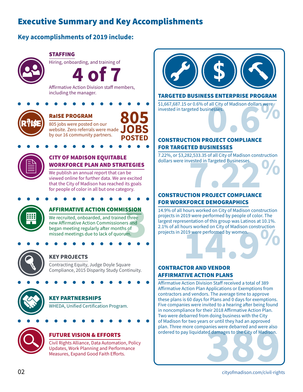## <span id="page-3-0"></span>Executive Summary and Key Accomplishments

#### **Key accomplishments of 2019 include:**



#### STAFFING

Hiring, onboarding, and training of

Affirmative Action Division staff members, **4 of 7**

including the manager.



#### RaISE PROGRAM

805 jobs were posted on our website. Zero referrals were made. by our 16 community partners. **805 JOBS POSTED**



#### CITY OF MADISON EQUITABLE WORKFORCE PLAN AND STRATEGIES

We publish an annual report that can be viewed online for further data. We are excited that the City of Madison has reached its goals for people of color in all but one category.



#### **3** AFFIRMATIVE ACTION COMMISSION

We recruited, onboarded, and trained three new Affirmative Action Commissioners and began meeting regularly after months of missed meetings due to lack of quorum.



#### KEY PROJECTS

Contracting Equity, Judge Doyle Square Compliance, 2015 Disparity Study Continuity.



## KEY PARTNERSHIPS

WHEDA, Unified Certification Program.



#### FUTURE VISION & EFFORTS

Civil Rights Alliance, Data Automation, Policy Updates, Work Planning and Performance Measures, Expand Good Faith Efforts.



#### CONTRACTOR AND VENDOR AFFIRMATIVE ACTION PLANS

Affirmative Action Division Staff received a total of 389 Affirmative Action Plan Applications or Exemptions from contractors and vendors. The average time to approve these plans is 60 days for Plans and 0 days for exemptions. Five companies were invited to a hearing after being found in noncompliance for their 2018 Affirmative Action Plan. Two were debarred from doing business with the City of Madison for two years or until they had an approved plan. Three more companies were debarred and were also ordered to pay liquidated damages to the City of Madison. anies were debarred and were also<br>ed damages to the City of Madison.<br>**[389](https://www.cityofmadison.com/civil-rights)**<br>city of madison com/civil right

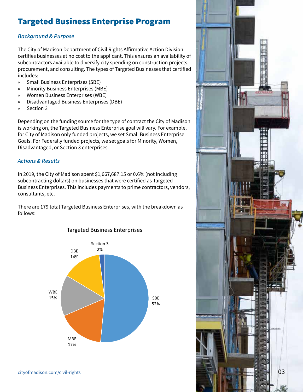## Targeted Business Enterprise Program

#### *Background & Purpose*

The City of Madison Department of Civil Rights Affirmative Action Division certifies businesses at no cost to the applicant. This ensures an availability of subcontractors available to diversify city spending on construction projects, procurement, and consulting. The types of Targeted Businesses that certified includes:

- » Small Business Enterprises (SBE)
- » Minority Business Enterprises (MBE)
- » Women Business Enterprises (WBE)
- » Disadvantaged Business Enterprises (DBE)
- » Section 3

Depending on the funding source for the type of contract the City of Madison is working on, the Targeted Business Enterprise goal will vary. For example, for City of Madison only funded projects, we set Small Business Enterprise Goals. For Federally funded projects, we set goals for Minority, Women, Disadvantaged, or Section 3 enterprises.

#### *Actions & Results*

In 2019, the City of Madison spent \$1,667,687.15 or 0.6% (not including subcontracting dollars) on businesses that were certified as Targeted Business Enterprises. This includes payments to prime contractors, vendors, consultants, etc.

There are 179 total Targeted Business Enterprises, with the breakdown as follows:



#### Targeted Business Enterprises

<span id="page-4-0"></span>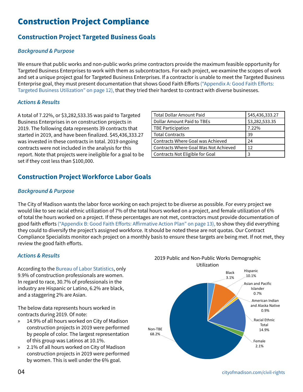## <span id="page-5-0"></span>Construction Project Compliance

#### **Construction Project Targeted Business Goals**

#### *Background & Purpose*

We ensure that public works and non-public works prime contractors provide the maximum feasible opportunity for Targeted Business Enterprises to work with them as subcontractors. For each project, we examine the scopes of work and set a unique project goal for Targeted Business Enterprises. If a contractor is unable to meet the Targeted Business Enterprise goal, they must present documentation that shows Good Faith Efforts [\("Appendix A: Good Faith Efforts:](#page-13-1)  [Targeted Business Utilization" on page 12\),](#page-13-1) that they tried their hardest to contract with diverse businesses.

#### *Actions & Results*

A total of 7.22%, or \$3,282,533.35 was paid to Targeted Business Enterprises in on construction projects in 2019. The following data represents 39 contracts that started in 2019, and have been finalized. \$45,436,333.27 was invested in these contracts in total. 2019 ongoing contracts were not included in the analysis for this report. Note that projects were ineligible for a goal to be set if they cost less than \$100,000.

| <b>Total Dollar Amount Paid</b>       | \$45,436,333.27 |  |  |  |  |
|---------------------------------------|-----------------|--|--|--|--|
| <b>Dollar Amount Paid to TBEs</b>     | \$3,282,533.35  |  |  |  |  |
| <b>TBE Participation</b>              | 7.22%           |  |  |  |  |
| <b>Total Contracts</b>                | 39              |  |  |  |  |
| Contracts Where Goal was Achieved     | 24              |  |  |  |  |
| Contracts Where Goal Was Not Achieved | 12              |  |  |  |  |
| Contracts Not Eligible for Goal       | 3               |  |  |  |  |

#### **Construction Project Workforce Labor Goals**

#### *Background & Purpose*

The City of Madison wants the labor force working on each project to be diverse as possible. For every project we would like to see racial ethnic utilization of 7% of the total hours worked on a project, and female utilization of 6% of total the hours worked on a project. If these percentages are not met, contractors must provide documentation of good faith efforts [\("Appendix B: Good Faith Efforts: Affirmative Action Plan" on page 13\)](#page-14-0), to show they did everything they could to diversify the project's assigned workforce. It should be noted these are not quotas. Our Contract Compliance Specialists monitor each project on a monthly basis to ensure these targets are being met. If not met, they review the good faith efforts.

#### *Actions & Results*

According to the [Bureau of Labor Statistics,](https://www.bls.gov/cps/cpsaat18.htm) only 9.9% of construction professionals are women. In regard to race, 30.7% of professionals in the industry are Hispanic or Latino, 6.2% are black, and a staggering 2% are Asian.

The below data represents hours worked in contracts during 2019. Of note:

- » 14.9% of all hours worked on City of Madison construction projects in 2019 were performed by people of color. The largest representation of this group was Latinos at 10.1%.
- » 2.1% of all hours worked on City of Madison construction projects in 2019 were performed by women. This is well under the 6% goal.

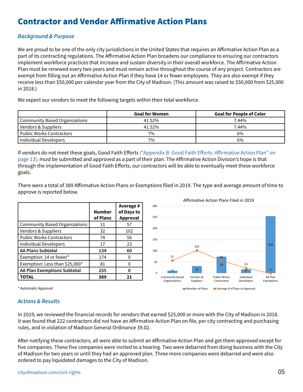## <span id="page-6-0"></span>Contractor and Vendor Affirmative Action Plans

#### *Background & Purpose*

We are proud to be one of the only city jurisdictions in the United States that requires an Affirmative Action Plan as a part of its contracting regulations. The Affirmative Action Plan broadens our compliance to ensuring our contractors implement workforce practices that increase and sustain diversity in their overall workforce. The Affirmative Action Plan must be renewed every two years and must remain active throughout the course of any project. Contractors are exempt from filling out an Affirmative Action Plan if they have 14 or fewer employees. They are also exempt if they receive less than \$50,000 per calendar year from the City of Madison. (This amount was raised to \$50,000 from \$25,000 in 2018.)

We expect our vendors to meet the following targets within their total workforce.

|                                      | <b>Goal for Women</b> | <b>Goal for People of Color</b> |
|--------------------------------------|-----------------------|---------------------------------|
| <b>Community Based Organizations</b> | 41.52%                | 7.44%                           |
| Vendors & Suppliers                  | 41.52%                | 7.44%                           |
| Public Works Contractors             | 7%                    | 6%                              |
| Individual Developers                | 7%                    | 6%                              |

If vendors do not meet these goals, Good Faith Efforts [\("Appendix B: Good Faith Efforts: Affirmative Action Plan" on](#page-14-0)  [page 13\),](#page-14-0) must be submitted and approved as a part of their plan. The Affirmative Action Division's hope is that through the implementation of Good Faith Efforts, our contractors will be able to eventually meet these workforce goals.

There were a total of 389 Affirmative Action Plans or Exemptions filed in 2019. The type and average amount of time to approve is reported below.

|                                      | <b>Number</b><br>of Plans | Average #<br>of Days to<br><b>Approval</b> |
|--------------------------------------|---------------------------|--------------------------------------------|
| <b>Community Based Organizations</b> | 11                        | 57                                         |
| Vendors & Suppliers                  | 32                        | 102                                        |
| <b>Public Works Contractors</b>      | 74                        | 56                                         |
| <b>Individual Developers</b>         | 17                        | 23                                         |
| AA Plans Subtotal                    | 134                       | 60                                         |
| Exemption: 14 or fewer*              | 174                       | O                                          |
| Exemption: Less than \$25,000*       | 81                        | O                                          |
| AA Plan Exemptions Subtotal          | 255                       | O                                          |
| TOTAL                                | 389                       | 21                                         |



\* Automatic Approval

#### *Actions & Results*

In 2019, we reviewed the financial records for vendors that earned \$25,000 or more with the City of Madison in 2018. It was found that 222 contractors did not have an Affirmative Action Plan on file, per city contracting and purchasing rules, and in violation of Madison General Ordinance 39.02.

After notifying these contractors, all were able to submit an Affirmative Action Plan and get them approved except for five companies. These five companies were invited to a hearing. Two were debarred from doing business with the City of Madison for two years or until they had an approved plan. Three more companies were debarred and were also ordered to pay liquidated damages to the City of Madison.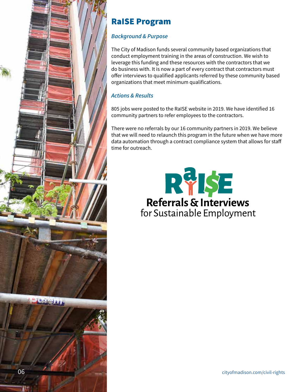<span id="page-7-0"></span>

## RaISE Program

#### *Background & Purpose*

The City of Madison funds several community based organizations that conduct employment training in the areas of construction. We wish to leverage this funding and these resources with the contractors that we do business with. It is now a part of every contract that contractors must offer interviews to qualified applicants referred by these community based organizations that meet minimum qualifications.

#### *Actions & Results*

805 jobs were posted to the RaISE website in 2019. We have identified 16 community partners to refer employees to the contractors.

There were no referrals by our 16 community partners in 2019. We believe that we will need to relaunch this program in the future when we have more data automation through a contract compliance system that allows for staff time for outreach.

> **RESERVENCE** for Sustainable Employment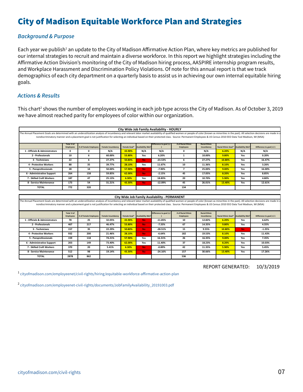## <span id="page-8-0"></span>City of Madison Equitable Workforce Plan and Strategies

#### *Background & Purpose*

Each year we publish<sup>1</sup> an update to the City of Madison Affirmative Action Plan, where key metrics are published for our internal strategies to recruit and maintain a diverse workforce. In this report we highlight strategies including the Affirmative Action Division's monitoring of the City of Madison hiring process, AASPIRE internship program results, and Workplace Harassment and Discrimination Policy Violations. Of note for this annual report is that we track demographics of each city department on a quarterly basis to assist us in achieving our own internal equitable hiring goals.

#### *Actions & Results*

This chart<sup>2</sup> shows the number of employees working in each job type across the City of Madison. As of October 3, 2019 we have almost reached parity for employees of color within our organization.

|                                                                                                                                                                                                                                |                  |                       |                          |              |                          | City Wide Job Family Availability - HOURLY |                    |                      |                                       |     |                          |
|--------------------------------------------------------------------------------------------------------------------------------------------------------------------------------------------------------------------------------|------------------|-----------------------|--------------------------|--------------|--------------------------|--------------------------------------------|--------------------|----------------------|---------------------------------------|-----|--------------------------|
| The Annual Placement Goals are determined with an underutilization analysis of incumbency and relevant labor market availability of qualified women or people of color (known as minorities in the past). All selection decisi |                  |                       |                          |              |                          |                                            |                    |                      |                                       |     |                          |
| nondiscriminatory manner and a placement goal is not justification for selecting an individual based on their protected class. Source: Permanent Employees & US Census 2010 EEO Data Tool Madison, WI (MSA)                    |                  |                       |                          |              |                          |                                            |                    |                      |                                       |     |                          |
|                                                                                                                                                                                                                                |                  |                       |                          |              |                          |                                            |                    |                      |                                       |     |                          |
|                                                                                                                                                                                                                                | Total # of       |                       |                          |              |                          | Difference to goal (+/-                    | # of Racial Ethnic | <b>Racial Ethnic</b> |                                       |     |                          |
|                                                                                                                                                                                                                                | <b>Employees</b> | # of Female Employees | <b>Female Incumbency</b> | Female Goal* | <b>Availability Met?</b> |                                            | <b>Employees</b>   | Incumbency           | Racial Ethnic Goal* Availability Meti |     | Difference to goal (+/-) |
| 1 - Officials & Administrators                                                                                                                                                                                                 | 0                |                       | N/A                      | 43.90%       | N/A                      | N/A                                        |                    | N/A                  | 6.20%                                 | N/A | N/A                      |
| 2 - Professionals                                                                                                                                                                                                              | 10               |                       | 60.00%                   | 53.80%       | Yes                      | 6.20%                                      |                    | 10.00%               | 9.80%                                 | Yes | 0.20%                    |
| 3 - Technicians                                                                                                                                                                                                                | 22               |                       | 27.27%                   | 50.80%       | <b>No</b>                | $-23.53%$                                  |                    | 27.27%               | 10.80%                                | Yes | 16.47%                   |
| 4 - Protective Workers                                                                                                                                                                                                         | 88               | 35                    | 39.77%                   | 28.10%       | Yes                      | 11.67%                                     | 10                 | 11.36%               | 8.10%                                 | Yes | 3.26%                    |
| 5 - Paraprofessionals                                                                                                                                                                                                          | 28               | 14                    | 50.00%                   | 57.90%       | No.                      | $-7.90\%$                                  |                    | 25.00%               | 9.00%                                 | Yes | 16.00%                   |
| 6 - Administrative Support                                                                                                                                                                                                     | 264              | 158                   | 59.85%                   | 62.00%       | No.                      | $-2.15%$                                   | 45                 | 17.05%               | 8.20%                                 | Yes | 8.85%                    |
| 7 - Skilled Craft Workers                                                                                                                                                                                                      | 187              | 47                    | 25.13%                   | 6.30%        | Yes                      | 18.83%                                     | 20                 | 10.70%               | 5.90%                                 | Yes | 4.80%                    |
| 8 - Service Maintenance                                                                                                                                                                                                        | 173              | 54                    | 31.21%                   | 43.30%       | No.                      | $-12.09%$                                  | 45                 | 26.01%               | 13.40%                                | Yes | 12.61%                   |
| <b>TOTAL</b>                                                                                                                                                                                                                   | 772              | 320                   |                          |              |                          |                                            | 134                |                      |                                       |     |                          |
|                                                                                                                                                                                                                                |                  |                       |                          |              |                          |                                            |                    |                      |                                       |     |                          |

| City Wide Job Family Availability - PERMANENT                                                                                                                                                                                                                                                                                                                                                                                                 |                                |                       |                          |              |                          |                         |                                        |                                    |                                       |     |                            |
|-----------------------------------------------------------------------------------------------------------------------------------------------------------------------------------------------------------------------------------------------------------------------------------------------------------------------------------------------------------------------------------------------------------------------------------------------|--------------------------------|-----------------------|--------------------------|--------------|--------------------------|-------------------------|----------------------------------------|------------------------------------|---------------------------------------|-----|----------------------------|
| The Annual Placement Goals are determined with an underutilization analysis of incumbency and relevant labor market availability of qualified women or people of color (known as minorities in the past). All selection decisi<br>nondiscriminatory manner and a placement goal is not justification for selecting an individual based on their protected class. Source: Permanent Employees & US Census 2010 EEO Data Tool Madison, WI (MSA) |                                |                       |                          |              |                          |                         |                                        |                                    |                                       |     |                            |
|                                                                                                                                                                                                                                                                                                                                                                                                                                               | Total # of<br><b>Employees</b> | # of Female Employees | <b>Female Incumbency</b> | Female Goal* | <b>Availability Met?</b> | Difference to goal (+/- | # of Racial Ethnic<br><b>Employees</b> | <b>Racial Ethnic</b><br>Incumbency | Racial Ethnic Goal* Availability Met? |     | Difference to goal $(+/-)$ |
| 1 - Officials & Administrators                                                                                                                                                                                                                                                                                                                                                                                                                | 78                             | 25                    | 32.05%                   | 43.90%       | No.                      | $-11.85%$               | 10                                     | 12.82%                             | 6.20%                                 | Yes | 6.62%                      |
| 2 - Professionals                                                                                                                                                                                                                                                                                                                                                                                                                             | 467                            | 217                   | 46.47%                   | 53.80%       | No.                      | $-7.33%$                | 67                                     | 14.35%                             | 9.80%                                 | Yes | 4.55%                      |
| 3 - Technicians                                                                                                                                                                                                                                                                                                                                                                                                                               | 157                            | 35                    | 22.29%                   | 50.80%       | No.                      | $-28.51%$               | 15                                     | 9.55%                              | 10.80%                                | No. | $-1.25%$                   |
| 4 - Protective Workers                                                                                                                                                                                                                                                                                                                                                                                                                        | 932                            | 200                   | 21.46%                   | 28.10%       | No.                      | $-6.64%$                | 182                                    | 19.53%                             | 8.10%                                 | Yes | 11.43%                     |
| 5 - Paraprofessionals                                                                                                                                                                                                                                                                                                                                                                                                                         | 159                            | 118                   | 74.21%                   | 57.90%       | Yes                      | 16.31%                  | 26                                     | 16.35%                             | 9.00%                                 | Yes | 7.35%                      |
| 6 - Administrative Support                                                                                                                                                                                                                                                                                                                                                                                                                    | 203                            | 149                   | 73.40%                   | 62.00%       | Yes                      | 11.40%                  | 37                                     | 18.23%                             | 8.20%                                 | Yes | 10.03%                     |
| 7 - Skilled Craft Workers                                                                                                                                                                                                                                                                                                                                                                                                                     | 370                            | 20                    | 5.41%                    | 6.30%        | No.                      | $-0.89%$                | 42                                     | 11.35%                             | 5.90%                                 | Yes | 5.45%                      |
| 8 - Service Maintenance                                                                                                                                                                                                                                                                                                                                                                                                                       | 512                            | 98                    | 19.14%                   | 43.30%       | No.                      | $-24.16%$               | 157                                    | 30.66%                             | 13.40%                                | Yes | 17.26%                     |
| <b>TOTAL</b>                                                                                                                                                                                                                                                                                                                                                                                                                                  | 2878                           | 862                   |                          |              |                          |                         | 536                                    |                                    |                                       |     |                            |

REPORT GENERATED: 10/3/2019

1 [cityofmadison.com/employeenet/civil-rights/hiring/equitable-workforce-affirmative-action-plan](https://www.cityofmadison.com/employeenet/civil-rights/hiring/equitable-workforce-affirmative-action-plan)

2 [cityofmadison.com/employeenet-civil-rights/documents/JobFamilyAvailability\\_20191003.pdf](https://www.cityofmadison.com/employeenet-civil-rights/documents/JobFamilyAvailability_20191003.pdf)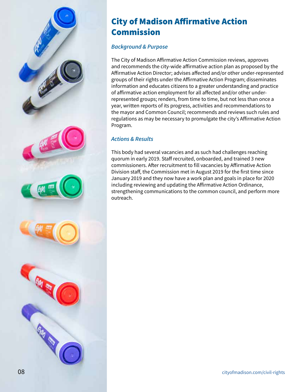<span id="page-9-0"></span>

## City of Madison Affirmative Action Commission

#### *Background & Purpose*

The City of Madison Affirmative Action Commission reviews, approves and recommends the city-wide affirmative action plan as proposed by the Affirmative Action Director; advises affected and/or other under-represented groups of their rights under the Affirmative Action Program; disseminates information and educates citizens to a greater understanding and practice of affirmative action employment for all affected and/or other underrepresented groups; renders, from time to time, but not less than once a year, written reports of its progress, activities and recommendations to the mayor and Common Council; recommends and reviews such rules and regulations as may be necessary to promulgate the city's Affirmative Action Program.

#### *Actions & Results*

This body had several vacancies and as such had challenges reaching quorum in early 2019. Staff recruited, onboarded, and trained 3 new commissioners. After recruitment to fill vacancies by Affirmative Action Division staff, the Commission met in August 2019 for the first time since January 2019 and they now have a work plan and goals in place for 2020 including reviewing and updating the Affirmative Action Ordinance, strengthening communications to the common council, and perform more outreach.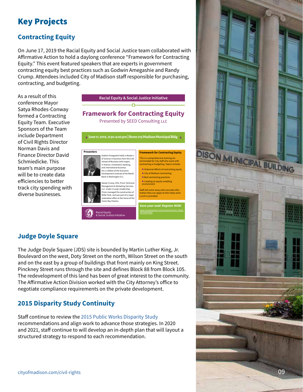## Key Projects

## **Contracting Equity**

On June 17, 2019 the Racial Equity and Social Justice team collaborated with Affirmative Action to hold a daylong conference "Framework for Contracting Equity." This event featured speakers that are experts in government contracting equity best practices such as Godwin Amegashie and Randy Crump. Attendees included City of Madison staff responsible for purchasing, contracting, and budgeting.

As a result of this conference Mayor Satya Rhodes-Conway formed a Contracting Equity Team. Executive Sponsors of the Team include Department of Civil Rights Director Norman Davis and Finance Director David Schmiedicke. This team's main purpose will be to create data efficiencies to better track city spending with diverse businesses.



#### **Judge Doyle Square**

The Judge Doyle Square (JDS) site is bounded by Martin Luther King, Jr. Boulevard on the west, Doty Street on the north, Wilson Street on the south and on the east by a group of buildings that front mainly on King Street. Pinckney Street runs through the site and defines Block 88 from Block 105. The redevelopment of this land has been of great interest to the community. The Affirmative Action Division worked with the City Attorney's office to negotiate compliance requirements on the private development.

## **2015 Disparity Study Continuity**

Staff continue to review the [2015 Public Works Disparity Study](https://www.cityofmadison.com/madisoncontractingstudy/documents.cfm) recommendations and align work to advance those strategies. In 2020 and 2021, staff continue to will develop an in-depth plan that will layout a structured strategy to respond to each recommendation.

<span id="page-10-0"></span>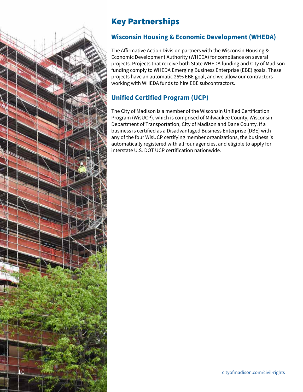<span id="page-11-0"></span>

## Key Partnerships

#### **Wisconsin Housing & Economic Development (WHEDA)**

The Affirmative Action Division partners with the Wisconsin Housing & Economic Development Authority (WHEDA) for compliance on several projects. Projects that receive both State WHEDA funding and City of Madison funding comply to WHEDA Emerging Business Enterprise (EBE) goals. These projects have an automatic 25% EBE goal, and we allow our contractors working with WHEDA funds to hire EBE subcontractors.

## **Unified Certified Program (UCP)**

The City of Madison is a member of the Wisconsin Unified Certification Program (WisUCP), which is comprised of Milwaukee County, Wisconsin Department of Transportation, City of Madison and Dane County. If a business is certified as a Disadvantaged Business Enterprise (DBE) with any of the four WisUCP certifying member organizations, the business is automatically registered with all four agencies, and eligible to apply for interstate U.S. DOT UCP certification nationwide.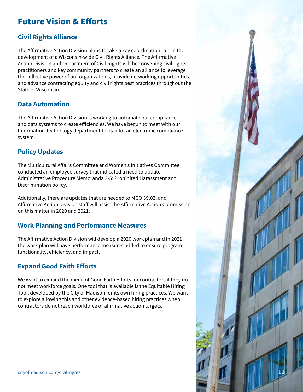## <span id="page-12-0"></span>Future Vision & Efforts

#### **Civil Rights Alliance**

The Affirmative Action Division plans to take a key coordination role in the development of a Wisconsin-wide Civil Rights Alliance. The Affirmative Action Division and Department of Civil Rights will be convening civil rights practitioners and key community partners to create an alliance to leverage the collective power of our organizations, provide networking opportunities, and advance contracting equity and civil rights best practices throughout the State of Wisconsin.

#### **Data Automation**

The Affirmative Action Division is working to automate our compliance and data systems to create efficiencies. We have begun to meet with our Information Technology department to plan for an electronic compliance system.

## **Policy Updates**

The Multicultural Affairs Committee and Women's Initiatives Committee conducted an employee survey that indicated a need to update Administrative Procedure Memoranda 3-5: Prohibited Harassment and Discrimination policy.

Additionally, there are updates that are needed to MGO 39.02, and Affirmative Action Division staff will assist the Affirmative Action Commission on this matter in 2020 and 2021.

#### **Work Planning and Performance Measures**

The Affirmative Action Division will develop a 2020 work plan and in 2021 the work plan will have performance measures added to ensure program functionality, efficiency, and impact.

#### **Expand Good Faith Efforts**

We want to expand the menu of Good Faith Efforts for contractors if they do not meet workforce goals. One tool that is available is the Equitable Hiring Tool, developed by the City of Madison for its own hiring practices. We want to explore allowing this and other evidence-based hiring practices when contractors do not reach workforce or affirmative action targets.

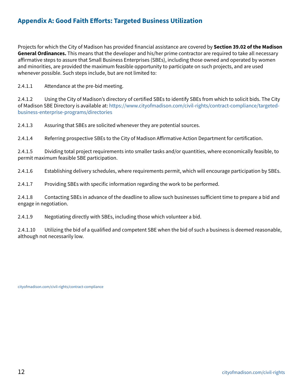#### <span id="page-13-1"></span><span id="page-13-0"></span>Appendix **Appendix A: Good Faith Efforts: Targeted Business Utilization**

Projects for which the City of Madison has provided financial assistance are covered by **Section 39.02 of the Madison General Ordinances.** This means that the developer and his/her prime contractor are required to take all necessary affirmative steps to assure that Small Business Enterprises (SBEs), including those owned and operated by women and minorities, are provided the maximum feasible opportunity to participate on such projects, and are used whenever possible. Such steps include, but are not limited to:

2.4.1.1 Attendance at the pre-bid meeting.

2.4.1.2 Using the City of Madison's directory of certified SBEs to identify SBEs from which to solicit bids. The City of Madison SBE Directory is available at: [https://www.cityofmadison.com/civil-rights/contract-compliance/targeted](https://www.cityofmadison.com/civil-rights/contract-compliance/targeted-business-enterprise-programs/directories)[business-enterprise-programs/directories](https://www.cityofmadison.com/civil-rights/contract-compliance/targeted-business-enterprise-programs/directories)

2.4.1.3 Assuring that SBEs are solicited whenever they are potential sources.

2.4.1.4 Referring prospective SBEs to the City of Madison Affirmative Action Department for certification.

2.4.1.5 Dividing total project requirements into smaller tasks and/or quantities, where economically feasible, to permit maximum feasible SBE participation.

2.4.1.6 Establishing delivery schedules, where requirements permit, which will encourage participation by SBEs.

2.4.1.7 Providing SBEs with specific information regarding the work to be performed.

2.4.1.8 Contacting SBEs in advance of the deadline to allow such businesses sufficient time to prepare a bid and engage in negotiation.

2.4.1.9 Negotiating directly with SBEs, including those which volunteer a bid.

2.4.1.10 Utilizing the bid of a qualified and competent SBE when the bid of such a business is deemed reasonable, although not necessarily low.

[cityofmadison.com/civil-rights/contract-compliance](https://www.cityofmadison.com/civil-rights/contract-compliance)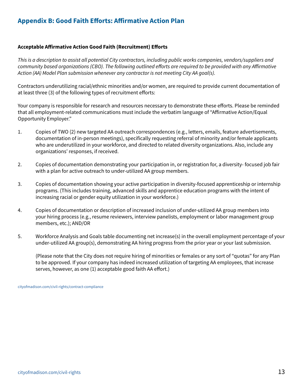#### <span id="page-14-0"></span>**Appendix B: Good Faith Efforts: Affirmative Action Plan**

#### **Acceptable Affirmative Action Good Faith (Recruitment) Efforts**

*This is a description to assist all potential City contractors, including public works companies, vendors/suppliers and community based organizations (CBO). The following outlined efforts are required to be provided with any Affirmative Action (AA) Model Plan submission whenever any contractor is not meeting City AA goal(s).*

Contractors underutilizing racial/ethnic minorities and/or women, are required to provide current documentation of at least three (3) of the following types of recruitment efforts:

Your company is responsible for research and resources necessary to demonstrate these efforts. Please be reminded that all employment-related communications must include the verbatim language of "Affirmative Action/Equal Opportunity Employer."

- 1. Copies of TWO (2) new targeted AA outreach correspondences (e.g., letters, emails, feature advertisements, documentation of in-person meetings), specifically requesting referral of minority and/or female applicants who are underutilized in your workforce, and directed to related diversity organizations. Also, include any organizations' responses, if received.
- 2. Copies of documentation demonstrating your participation in, or registration for, a diversity- focused job fair with a plan for active outreach to under-utilized AA group members.
- 3. Copies of documentation showing your active participation in diversity-focused apprenticeship or internship programs. (This includes training, advanced skills and apprentice education programs with the intent of increasing racial or gender equity utilization in your workforce.)
- 4. Copies of documentation or description of increased inclusion of under-utilized AA group members into your hiring process (e.g., resume reviewers, interview panelists, employment or labor management group members, etc.); AND/OR
- 5. Workforce Analysis and Goals table documenting net increase(s) in the overall employment percentage of your under-utilized AA group(s), demonstrating AA hiring progress from the prior year or your last submission.

(Please note that the City does not require hiring of minorities or females or any sort of "quotas" for any Plan to be approved. If your company has indeed increased utilization of targeting AA employees, that increase serves, however, as one (1) acceptable good faith AA effort.)

[cityofmadison.com/civil-rights/contract-compliance](https://www.cityofmadison.com/civil-rights/contract-compliance)